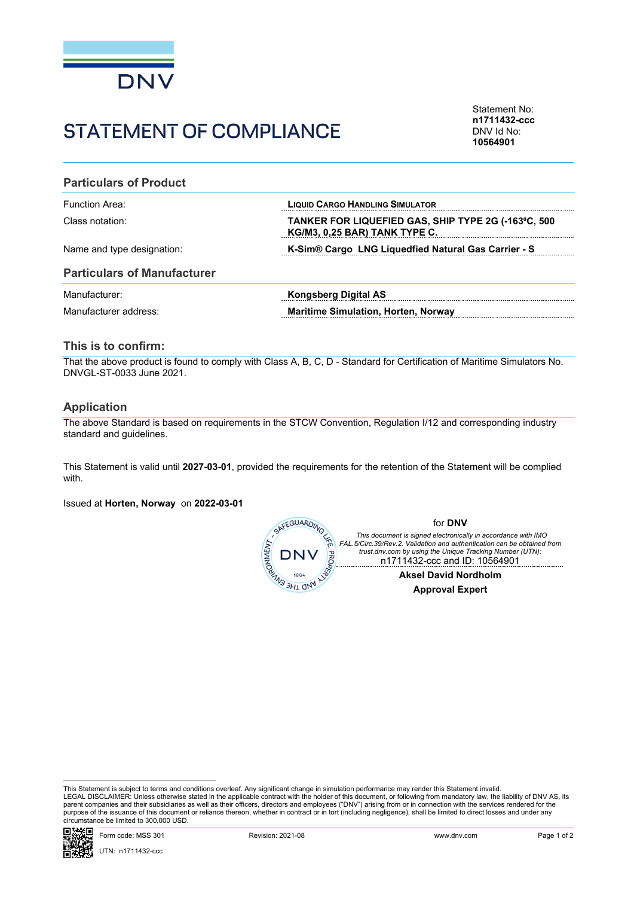

# STATEMENT OF COMPLIANCE

Statement No: **n1711432-ccc** DNV Id No: **10564901**

#### **Particulars of Product**

| Function Area:             | <b>LIQUID CARGO HANDLING SIMULATOR</b>                                               |
|----------------------------|--------------------------------------------------------------------------------------|
| Class notation:            | TANKER FOR LIQUEFIED GAS, SHIP TYPE 2G (-163°C, 500<br>KG/M3, 0,25 BAR) TANK TYPE C. |
| Name and type designation: | K-Sim <sup>®</sup> Cargo LNG Liquedfied Natural Gas Carrier - S                      |

#### **Particulars of Manufacturer**

| Manufacturer:         | Kongsberg Digital AS                       |
|-----------------------|--------------------------------------------|
| Manufacturer address: | <b>Maritime Simulation, Horten, Norway</b> |

### **This is to confirm:**

That the above product is found to comply with Class A, B, C, D - Standard for Certification of Maritime Simulators No. DNVGL-ST-0033 June 2021.

#### **Application**

The above Standard is based on requirements in the STCW Convention, Regulation I/12 and corresponding industry standard and guidelines.

This Statement is valid until **2027-03-01**, provided the requirements for the retention of the Statement will be complied with.

Issued at **Horten, Norway** on **2022-03-01**



This Statement is subject to terms and conditions overleaf. Any significant change in simulation performance may render this Statement invalid.<br>LEGAL DISCLAIMER: Unless otherwise stated in the applicable contract with the purpose of the issuance of this document or reliance thereon, whether in contract or in tort (including negligence), shall be limited to direct losses and under any circumstance be limited to 300,000 USD.